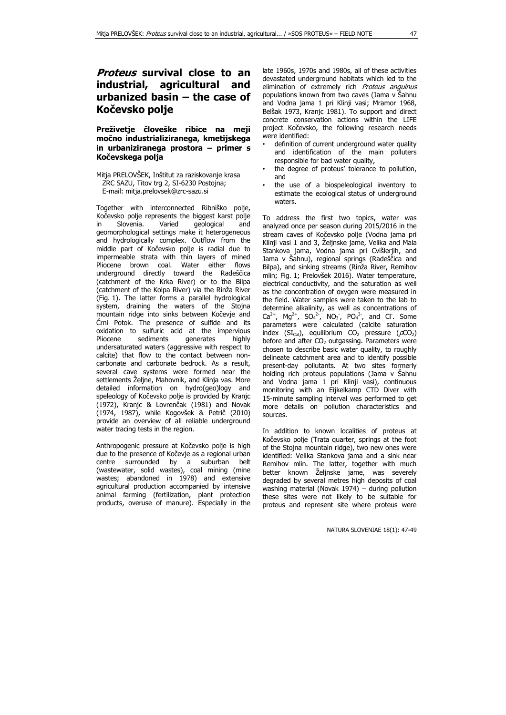## **Proteus survival close to an industrial, agricultural and urbanized basin – the case of Kočevsko polje**

**Preživetje človeške ribice na meji močno industrializiranega, kmetijskega in urbaniziranega prostora – primer s Kočevskega polja**

Mitja PRELOVŠEK, Inštitut za raziskovanje krasa ZRC SAZU, Titov trg 2, SI-6230 Postojna; E-mail: mitja.prelovsek@zrc-sazu.si

Together with interconnected Ribniško polje, Kočevsko polje represents the biggest karst polje in Slovenia. Varied geological and geomorphological settings make it heterogeneous and hydrologically complex. Outflow from the middle part of Kočevsko polje is radial due to impermeable strata with thin layers of mined Pliocene brown coal. Water either flows underground directly toward the Radeščica (catchment of the Krka River) or to the Bilpa (catchment of the Kolpa River) via the Rinža River (Fig. 1). The latter forms a parallel hydrological system, draining the waters of the Stojna mountain ridge into sinks between Kočevje and Črni Potok. The presence of sulfide and its oxidation to sulfuric acid at the impervious<br>Pliocene sediments qenerates highly sediments generates undersaturated waters (aggressive with respect to calcite) that flow to the contact between noncarbonate and carbonate bedrock. As a result, several cave systems were formed near the settlements Željne, Mahovnik, and Klinja vas. More detailed information on hydro(geo)logy and speleology of Kočevsko polje is provided by Kranjc (1972), Kranjc & Lovrenčak (1981) and Novak (1974, 1987), while Kogovšek & Petrič (2010) provide an overview of all reliable underground water tracing tests in the region.

Anthropogenic pressure at Kočevsko polje is high due to the presence of Kočevje as a regional urban centre surrounded by a suburban belt (wastewater, solid wastes), coal mining (mine wastes; abandoned in 1978) and extensive agricultural production accompanied by intensive animal farming (fertilization, plant protection products, overuse of manure). Especially in the late 1960s, 1970s and 1980s, all of these activities devastated underground habitats which led to the elimination of extremely rich Proteus anguinus populations known from two caves (Jama v Šahnu and Vodna jama 1 pri Klinji vasi; Mramor 1968, Belšak 1973, Kranjc 1981). To support and direct concrete conservation actions within the LIFE project Kočevsko, the following research needs were identified:

- definition of current underground water quality and identification of the main polluters responsible for bad water quality,
- the degree of proteus' tolerance to pollution, and
- the use of a biospeleological inventory to estimate the ecological status of underground waters.

To address the first two topics, water was analyzed once per season during 2015/2016 in the stream caves of Kočevsko polje (Vodna jama pri Klinji vasi 1 and 3, Željnske jame, Velika and Mala Stankova jama, Vodna jama pri Cvišlerjih, and Jama v Šahnu), regional springs (Radeščica and Bilpa), and sinking streams (Rinža River, Remihov mlin; Fig. 1; Prelovšek 2016). Water temperature, electrical conductivity, and the saturation as well as the concentration of oxygen were measured in the field. Water samples were taken to the lab to determine alkalinity, as well as concentrations of  $Ca^{2+}$ , Mg<sup>2+</sup>, SO<sub>4</sub><sup>2</sup>, NO<sub>3</sub>, PO<sub>4</sub><sup>3</sup>, and Cl. Some parameters were calculated (calcite saturation index  $(SI_{Cal})$ , equilibrium CO<sub>2</sub> pressure  $( \rho CO_2 )$ before and after  $CO<sub>2</sub>$  outgassing. Parameters were chosen to describe basic water quality, to roughly delineate catchment area and to identify possible present-day pollutants. At two sites formerly holding rich proteus populations (Jama v Šahnu and Vodna jama 1 pri Klinji vasi), continuous monitoring with an Eijkelkamp CTD Diver with 15-minute sampling interval was performed to get more details on pollution characteristics and sources.

In addition to known localities of proteus at Kočevsko polje (Trata quarter, springs at the foot of the Stojna mountain ridge), two new ones were identified: Velika Stankova jama and a sink near Remihov mlin. The latter, together with much better known Željnske jame, was severely degraded by several metres high deposits of coal washing material (Novak 1974) – during pollution these sites were not likely to be suitable for proteus and represent site where proteus were

NATURA SLOVENIAE 18(1): 47-49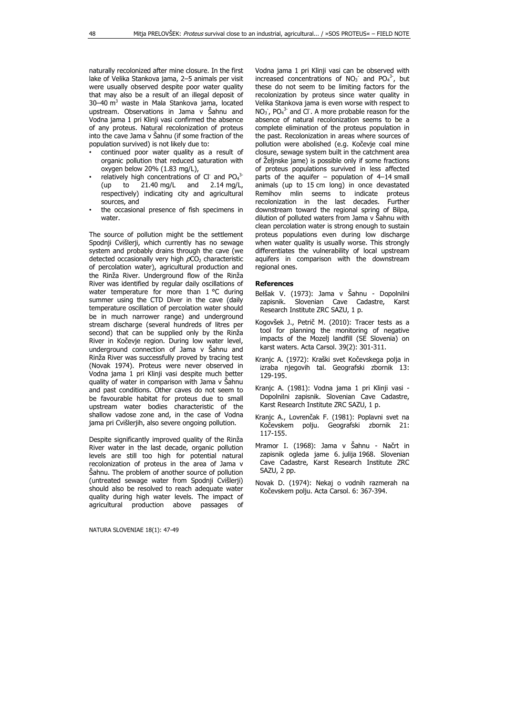naturally recolonized after mine closure. In the first lake of Velika Stankova jama, 2–5 animals per visit were usually observed despite poor water quality that may also be a result of an illegal deposit of 30–40 m <sup>3</sup> waste in Mala Stankova jama, located upstream. Observations in Jama v Šahnu and Vodna jama 1 pri Klinji vasi confirmed the absence of any proteus. Natural recolonization of proteus into the cave Jama v Šahnu (if some fraction of the population survived) is not likely due to:

- continued poor water quality as a result of organic pollution that reduced saturation with oxygen below 20% (1.83 mg/L),
- relatively high concentrations of Cl and  $PO<sub>4</sub><sup>3</sup>$ (up to 21.40 mg/L and 2.14 mg/L, respectively) indicating city and agricultural sources, and
- the occasional presence of fish specimens in water.

The source of pollution might be the settlement Spodnji Cvišlerji, which currently has no sewage system and probably drains through the cave (we detected occasionally very high  $pCO<sub>2</sub>$  characteristic of percolation water), agricultural production and the Rinža River. Underground flow of the Rinža River was identified by regular daily oscillations of water temperature for more than 1 °C during summer using the CTD Diver in the cave (daily temperature oscillation of percolation water should be in much narrower range) and underground stream discharge (several hundreds of litres per second) that can be supplied only by the Rinža River in Kočevje region. During low water level, underground connection of Jama v Šahnu and Rinža River was successfully proved by tracing test (Novak 1974). Proteus were never observed in Vodna jama 1 pri Klinji vasi despite much better quality of water in comparison with Jama v Šahnu and past conditions. Other caves do not seem to be favourable habitat for proteus due to small upstream water bodies characteristic of the shallow vadose zone and, in the case of Vodna jama pri Cvišlerjih, also severe ongoing pollution.

Despite significantly improved quality of the Rinža River water in the last decade, organic pollution levels are still too high for potential natural recolonization of proteus in the area of Jama v Šahnu. The problem of another source of pollution (untreated sewage water from Spodnji Cvišlerji) should also be resolved to reach adequate water quality during high water levels. The impact of agricultural production above passages of

NATURA SLOVENIAE 18(1): 47-49

Vodna jama 1 pri Klinji vasi can be observed with increased concentrations of  $NO<sub>3</sub>$  and  $PO<sub>4</sub><sup>3</sup>$ , but these do not seem to be limiting factors for the recolonization by proteus since water quality in Velika Stankova jama is even worse with respect to  $NO<sub>3</sub>$ ,  $PO<sub>4</sub><sup>3</sup>$  and Cl. A more probable reason for the absence of natural recolonization seems to be a complete elimination of the proteus population in the past. Recolonization in areas where sources of pollution were abolished (e.g. Kočevje coal mine closure, sewage system built in the catchment area of Željnske jame) is possible only if some fractions of proteus populations survived in less affected parts of the aquifer – population of 4–14 small animals (up to 15 cm long) in once devastated Remihov mlin seems to indicate proteus recolonization in the last decades. Further downstream toward the regional spring of Bilpa, dilution of polluted waters from Jama v Šahnu with clean percolation water is strong enough to sustain proteus populations even during low discharge when water quality is usually worse. This strongly differentiates the vulnerability of local upstream aquifers in comparison with the downstream regional ones.

## **References**

- Belšak V. (1973): Jama v Šahnu Dopolnilni zapisnik. Slovenian Cave Cadastre, Karst Research Institute ZRC SAZU, 1 p.
- Kogovšek J., Petrič M. (2010): Tracer tests as a tool for planning the monitoring of negative impacts of the Mozelj landfill (SE Slovenia) on karst waters. Acta Carsol. 39(2): 301-311.
- Kranjc A. (1972): Kraški svet Kočevskega polja in izraba njegovih tal. Geografski zbornik 13: 129-195.
- Kranjc A. (1981): Vodna jama 1 pri Klinji vasi Dopolnilni zapisnik. Slovenian Cave Cadastre, Karst Research Institute ZRC SAZU, 1 p.
- Kranjc A., Lovrenčak F. (1981): Poplavni svet na Kočevskem polju. Geografski zbornik 21: 117-155.
- Mramor I. (1968): Jama v Šahnu Načrt in zapisnik ogleda jame 6. julija 1968. Slovenian Cave Cadastre, Karst Research Institute ZRC SAZU, 2 pp.
- Novak D. (1974): Nekaj o vodnih razmerah na Kočevskem polju. Acta Carsol. 6: 367-394.